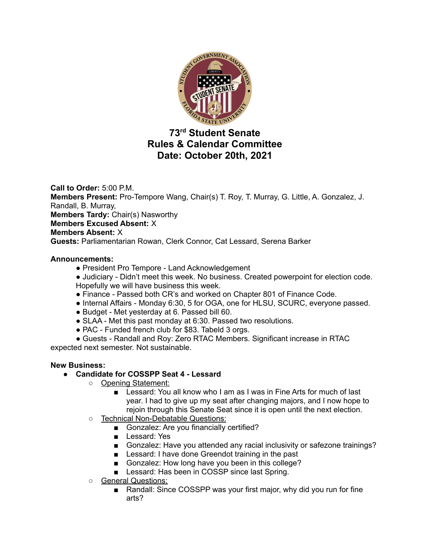

# **73 rd Student Senate Rules & Calendar Committee Date: October 20th, 2021**

**Call to Order:** 5:00 P.M. **Members Present:** Pro-Tempore Wang, Chair(s) T. Roy, T. Murray, G. Little, A. Gonzalez, J. Randall, B. Murray, **Members Tardy:** Chair(s) Nasworthy **Members Excused Absent:** X **Members Absent:** X **Guests:** Parliamentarian Rowan, Clerk Connor, Cat Lessard, Serena Barker

## **Announcements:**

- President Pro Tempore Land Acknowledgement
- Judiciary Didn't meet this week. No business. Created powerpoint for election code. Hopefully we will have business this week.
- Finance Passed both CR's and worked on Chapter 801 of Finance Code.
- Internal Affairs Monday 6:30, 5 for OGA, one for HLSU, SCURC, everyone passed.
- Budget Met yesterday at 6. Passed bill 60.
- SLAA Met this past monday at 6:30. Passed two resolutions.
- PAC Funded french club for \$83. Tabeld 3 orgs.

● Guests - Randall and Roy: Zero RTAC Members. Significant increase in RTAC expected next semester. Not sustainable.

### **New Business:**

# **● Candidate for COSSPP Seat 4 - Lessard**

- Opening Statement:
	- Lessard: You all know who I am as I was in Fine Arts for much of last year. I had to give up my seat after changing majors, and I now hope to rejoin through this Senate Seat since it is open until the next election.
- Technical Non-Debatable Questions:
	- Gonzalez: Are you financially certified?
	- Lessard: Yes
	- Gonzalez: Have you attended any racial inclusivity or safezone trainings?
	- Lessard: I have done Greendot training in the past
	- Gonzalez: How long have you been in this college?
	- Lessard: Has been in COSSP since last Spring.
- General Questions:
	- Randall: Since COSSPP was your first major, why did you run for fine arts?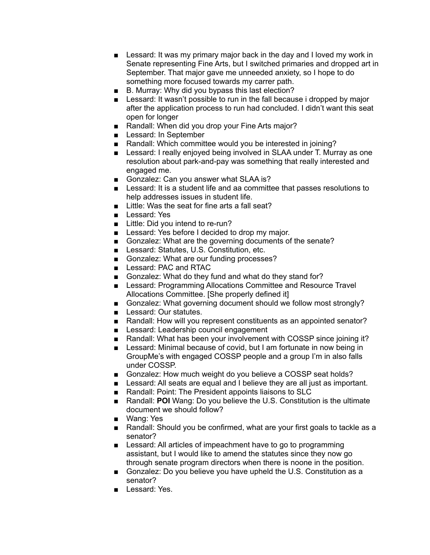- Lessard: It was my primary major back in the day and I loved my work in Senate representing Fine Arts, but I switched primaries and dropped art in September. That major gave me unneeded anxiety, so I hope to do something more focused towards my carrer path.
- B. Murray: Why did you bypass this last election?
- Lessard: It wasn't possible to run in the fall because i dropped by major after the application process to run had concluded. I didn't want this seat open for longer
- Randall: When did you drop your Fine Arts major?
- Lessard: In September
- Randall: Which committee would you be interested in joining?
- Lessard: I really enjoyed being involved in SLAA under T. Murray as one resolution about park-and-pay was something that really interested and engaged me.
- Gonzalez: Can you answer what SLAA is?
- Lessard: It is a student life and aa committee that passes resolutions to help addresses issues in student life.
- Little: Was the seat for fine arts a fall seat?
- Lessard: Yes
- Little: Did you intend to re-run?
- Lessard: Yes before I decided to drop my major.
- Gonzalez: What are the governing documents of the senate?
- Lessard: Statutes, U.S. Constitution, etc.
- Gonzalez: What are our funding processes?
- Lessard: PAC and RTAC
- Gonzalez: What do they fund and what do they stand for?
- Lessard: Programming Allocations Committee and Resource Travel Allocations Committee. [She properly defined it]
- Gonzalez: What governing document should we follow most strongly?
- Lessard: Our statutes.
- Randall: How will you represent constituents as an appointed senator?
- Lessard: Leadership council engagement
- Randall: What has been your involvement with COSSP since joining it?
- Lessard: Minimal because of covid, but I am fortunate in now being in GroupMe's with engaged COSSP people and a group I'm in also falls under COSSP.
- Gonzalez: How much weight do you believe a COSSP seat holds?
- Lessard: All seats are equal and I believe they are all just as important.
- Randall: Point: The President appoints liaisons to SLC
- Randall: **POI** Wang: Do you believe the U.S. Constitution is the ultimate document we should follow?
- Wang: Yes
- Randall: Should you be confirmed, what are your first goals to tackle as a senator?
- Lessard: All articles of impeachment have to go to programming assistant, but I would like to amend the statutes since they now go through senate program directors when there is noone in the position.
- Gonzalez: Do you believe you have upheld the U.S. Constitution as a senator?
- Lessard: Yes.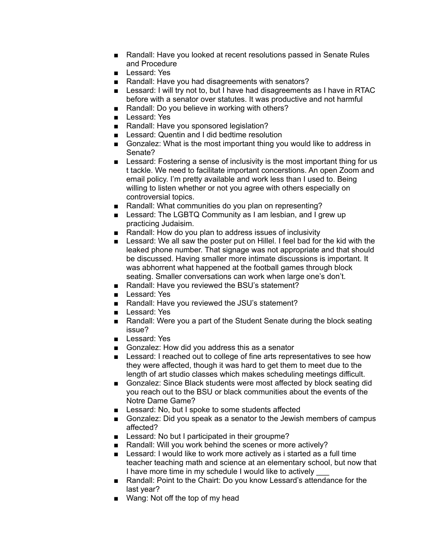- Randall: Have you looked at recent resolutions passed in Senate Rules and Procedure
- Lessard: Yes
- Randall: Have you had disagreements with senators?
- Lessard: I will try not to, but I have had disagreements as I have in RTAC before with a senator over statutes. It was productive and not harmful
- Randall: Do you believe in working with others?
- Lessard: Yes
- Randall: Have you sponsored legislation?
- Lessard: Quentin and I did bedtime resolution
- Gonzalez: What is the most important thing you would like to address in Senate?
- Lessard: Fostering a sense of inclusivity is the most important thing for us t tackle. We need to facilitate important concerstions. An open Zoom and email policy. I'm pretty available and work less than I used to. Being willing to listen whether or not you agree with others especially on controversial topics.
- Randall: What communities do you plan on representing?
- Lessard: The LGBTQ Community as I am lesbian, and I grew up practicing Judaisim.
- Randall: How do you plan to address issues of inclusivity
- Lessard: We all saw the poster put on Hillel. I feel bad for the kid with the leaked phone number. That signage was not appropriate and that should be discussed. Having smaller more intimate discussions is important. It was abhorrent what happened at the football games through block seating. Smaller conversations can work when large one's don't.
- Randall: Have you reviewed the BSU's statement?
- Lessard: Yes
- Randall: Have you reviewed the JSU's statement?
- Lessard: Yes
- Randall: Were you a part of the Student Senate during the block seating issue?
- Lessard: Yes
- Gonzalez: How did you address this as a senator
- Lessard: I reached out to college of fine arts representatives to see how they were affected, though it was hard to get them to meet due to the length of art studio classes which makes scheduling meetings difficult.
- Gonzalez: Since Black students were most affected by block seating did you reach out to the BSU or black communities about the events of the Notre Dame Game?
- Lessard: No, but I spoke to some students affected
- Gonzalez: Did you speak as a senator to the Jewish members of campus affected?
- Lessard: No but I participated in their groupme?
- Randall: Will you work behind the scenes or more actively?
- Lessard: I would like to work more actively as i started as a full time teacher teaching math and science at an elementary school, but now that I have more time in my schedule I would like to actively
- Randall: Point to the Chairt: Do you know Lessard's attendance for the last year?
- Wang: Not off the top of my head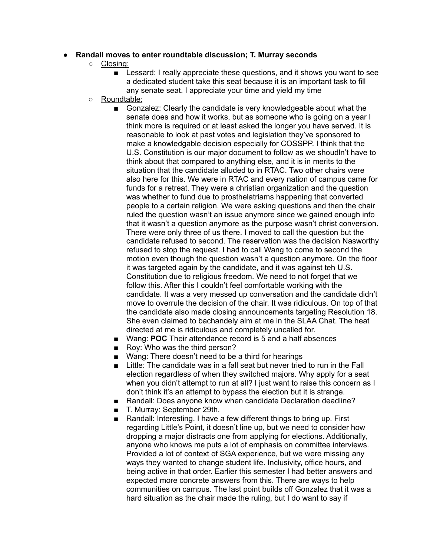## **● Randall moves to enter roundtable discussion; T. Murray seconds**

- **○** Closing:
	- Lessard: I really appreciate these questions, and it shows you want to see a dedicated student take this seat because it is an important task to fill any senate seat. I appreciate your time and yield my time
- Roundtable:
	- Gonzalez: Clearly the candidate is very knowledgeable about what the senate does and how it works, but as someone who is going on a year I think more is required or at least asked the longer you have served. It is reasonable to look at past votes and legislation they've sponsored to make a knowledgable decision especially for COSSPP. I think that the U.S. Constitution is our major document to follow as we shoudln't have to think about that compared to anything else, and it is in merits to the situation that the candidate alluded to in RTAC. Two other chairs were also here for this. We were in RTAC and every nation of campus came for funds for a retreat. They were a christian organization and the question was whether to fund due to prosthelatriams happening that converted people to a certain religion. We were asking questions and then the chair ruled the question wasn't an issue anymore since we gained enough info that it wasn't a question anymore as the purpose wasn't christ conversion. There were only three of us there. I moved to call the question but the candidate refused to second. The reservation was the decision Nasworthy refused to stop the request. I had to call Wang to come to second the motion even though the question wasn't a question anymore. On the floor it was targeted again by the candidate, and it was against teh U.S. Constitution due to religious freedom. We need to not forget that we follow this. After this I couldn't feel comfortable working with the candidate. It was a very messed up conversation and the candidate didn't move to overrule the decision of the chair. It was ridiculous. On top of that the candidate also made closing announcements targeting Resolution 18. She even claimed to bachandely aim at me in the SLAA Chat. The heat directed at me is ridiculous and completely uncalled for.
	- Wang: **POC** Their attendance record is 5 and a half absences
	- Roy: Who was the third person?
	- Wang: There doesn't need to be a third for hearings
	- Little: The candidate was in a fall seat but never tried to run in the Fall election regardless of when they switched majors. Why apply for a seat when you didn't attempt to run at all? I just want to raise this concern as I don't think it's an attempt to bypass the election but it is strange.
	- Randall: Does anyone know when candidate Declaration deadline?
	- T. Murray: September 29th.
	- Randall: Interesting. I have a few different things to bring up. First regarding Little's Point, it doesn't line up, but we need to consider how dropping a major distracts one from applying for elections. Additionally, anyone who knows me puts a lot of emphasis on committee interviews. Provided a lot of context of SGA experience, but we were missing any ways they wanted to change student life. Inclusivity, office hours, and being active in that order. Earlier this semester I had better answers and expected more concrete answers from this. There are ways to help communities on campus. The last point builds off Gonzalez that it was a hard situation as the chair made the ruling, but I do want to say if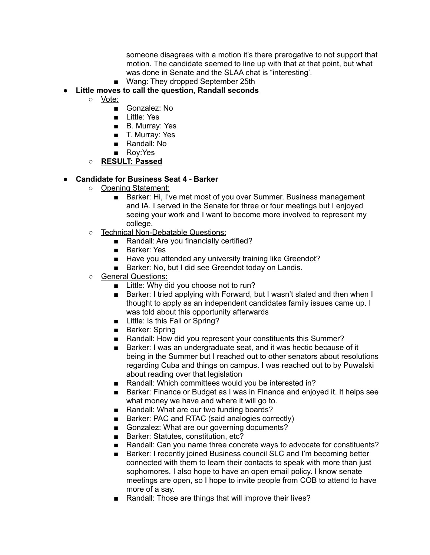someone disagrees with a motion it's there prerogative to not support that motion. The candidate seemed to line up with that at that point, but what was done in Senate and the SLAA chat is "interesting'.

■ Wang: They dropped September 25th

# **● Little moves to call the question, Randall seconds**

- Vote:
	- Gonzalez: No
	- Little: Yes
	- B. Murray: Yes
	- T. Murray: Yes
	- Randall: No
	- Rov:Yes
- **○ RESULT: Passed**

## **● Candidate for Business Seat 4 - Barker**

- Opening Statement:
	- Barker: Hi, I've met most of you over Summer. Business management and IA. I served in the Senate for three or four meetings but I enjoyed seeing your work and I want to become more involved to represent my college.
- Technical Non-Debatable Questions:
	- Randall: Are you financially certified?
	- Barker: Yes
	- Have you attended any university training like Greendot?
	- Barker: No, but I did see Greendot today on Landis.
- General Questions:
	- Little: Why did you choose not to run?
	- Barker: I tried applying with Forward, but I wasn't slated and then when I thought to apply as an independent candidates family issues came up. I was told about this opportunity afterwards
	- Little: Is this Fall or Spring?
	- Barker: Spring
	- Randall: How did you represent your constituents this Summer?
	- Barker: I was an undergraduate seat, and it was hectic because of it being in the Summer but I reached out to other senators about resolutions regarding Cuba and things on campus. I was reached out to by Puwalski about reading over that legislation
	- Randall: Which committees would you be interested in?
	- Barker: Finance or Budget as I was in Finance and enjoyed it. It helps see what money we have and where it will go to.
	- Randall: What are our two funding boards?
	- Barker: PAC and RTAC (said analogies correctly)
	- Gonzalez: What are our governing documents?
	- Barker: Statutes, constitution, etc?
	- Randall: Can you name three concrete ways to advocate for constituents?
	- Barker: I recently joined Business council SLC and I'm becoming better connected with them to learn their contacts to speak with more than just sophomores. I also hope to have an open email policy. I know senate meetings are open, so I hope to invite people from COB to attend to have more of a say.
	- Randall: Those are things that will improve their lives?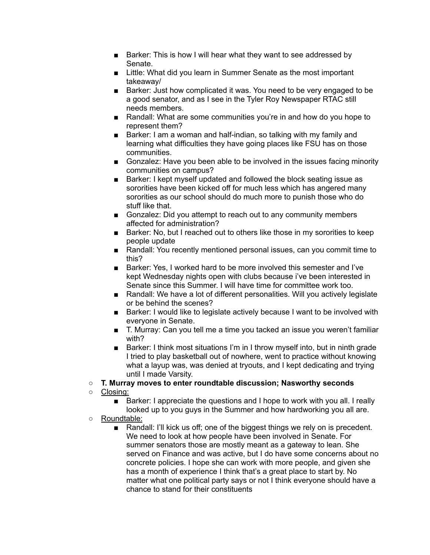- Barker: This is how I will hear what they want to see addressed by Senate.
- Little: What did you learn in Summer Senate as the most important takeaway/
- Barker: Just how complicated it was. You need to be very engaged to be a good senator, and as I see in the Tyler Roy Newspaper RTAC still needs members.
- Randall: What are some communities you're in and how do you hope to represent them?
- Barker: I am a woman and half-indian, so talking with my family and learning what difficulties they have going places like FSU has on those communities.
- Gonzalez: Have you been able to be involved in the issues facing minority communities on campus?
- Barker: I kept myself updated and followed the block seating issue as sororities have been kicked off for much less which has angered many sororities as our school should do much more to punish those who do stuff like that.
- Gonzalez: Did you attempt to reach out to any community members affected for administration?
- Barker: No, but I reached out to others like those in my sororities to keep people update
- Randall: You recently mentioned personal issues, can you commit time to this?
- Barker: Yes, I worked hard to be more involved this semester and I've kept Wednesday nights open with clubs because i've been interested in Senate since this Summer. I will have time for committee work too.
- Randall: We have a lot of different personalities. Will you actively legislate or be behind the scenes?
- Barker: I would like to legislate actively because I want to be involved with everyone in Senate.
- T. Murray: Can you tell me a time you tacked an issue you weren't familiar with?
- Barker: I think most situations I'm in I throw myself into, but in ninth grade I tried to play basketball out of nowhere, went to practice without knowing what a layup was, was denied at tryouts, and I kept dedicating and trying until I made Varsity.
- **○ T. Murray moves to enter roundtable discussion; Nasworthy seconds**
- Closing:
	- Barker: I appreciate the questions and I hope to work with you all. I really looked up to you guys in the Summer and how hardworking you all are.
- Roundtable:
	- Randall: I'll kick us off; one of the biggest things we rely on is precedent. We need to look at how people have been involved in Senate. For summer senators those are mostly meant as a gateway to lean. She served on Finance and was active, but I do have some concerns about no concrete policies. I hope she can work with more people, and given she has a month of experience I think that's a great place to start by. No matter what one political party says or not I think everyone should have a chance to stand for their constituents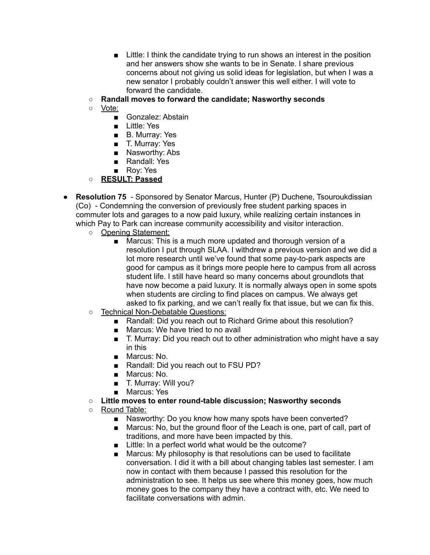- Little: I think the candidate trying to run shows an interest in the position and her answers show she wants to be in Senate. I share previous concerns about not giving us solid ideas for legislation, but when I was a new senator I probably couldn't answer this well either. I will vote to forward the candidate.
- **○ Randall moves to forward the candidate; Nasworthy seconds**
- Vote:
	- Gonzalez: Abstain
	- Little: Yes
	- B. Murray: Yes
	- T. Murray: Yes
	- Nasworthy: Abs
	- Randall: Yes
	- Rov: Yes
- **○ RESULT: Passed**
- **Resolution 75** Sponsored by Senator Marcus, Hunter (P) Duchene, Tsouroukdissian (Co) - Condemning the conversion of previously free student parking spaces in commuter lots and garages to a now paid luxury, while realizing certain instances in which Pay to Park can increase community accessibility and visitor interaction.
	- Opening Statement:
		- Marcus: This is a much more updated and thorough version of a resolution I put through SLAA. I withdrew a previous version and we did a lot more research until we've found that some pay-to-park aspects are good for campus as it brings more people here to campus from all across student life. I still have heard so many concerns about groundlots that have now become a paid luxury. It is normally always open in some spots when students are circling to find places on campus. We always get asked to fix parking, and we can't really fix that issue, but we can fix this.
	- Technical Non-Debatable Questions:
		- Randall: Did you reach out to Richard Grime about this resolution?
		- Marcus: We have tried to no avail
		- T. Murray: Did you reach out to other administration who might have a say in this
		- Marcus: No.
		- Randall: Did you reach out to FSU PD?
		- Marcus: No.
		- T. Murray: Will you?
		- Marcus: Yes
	- **○ Little moves to enter round-table discussion; Nasworthy seconds**
	- Round Table:
		- Nasworthy: Do you know how many spots have been converted?
		- Marcus: No, but the ground floor of the Leach is one, part of call, part of traditions, and more have been impacted by this.
		- Little: In a perfect world what would be the outcome?
		- Marcus: My philosophy is that resolutions can be used to facilitate conversation. I did it with a bill about changing tables last semester. I am now in contact with them because I passed this resolution for the administration to see. It helps us see where this money goes, how much money goes to the company they have a contract with, etc. We need to facilitate conversations with admin.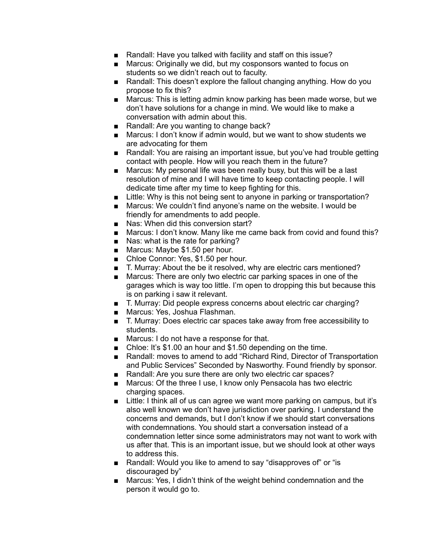- Randall: Have you talked with facility and staff on this issue?
- Marcus: Originally we did, but my cosponsors wanted to focus on students so we didn't reach out to faculty.
- Randall: This doesn't explore the fallout changing anything. How do you propose to fix this?
- Marcus: This is letting admin know parking has been made worse, but we don't have solutions for a change in mind. We would like to make a conversation with admin about this.
- Randall: Are you wanting to change back?
- Marcus: I don't know if admin would, but we want to show students we are advocating for them
- Randall: You are raising an important issue, but you've had trouble getting contact with people. How will you reach them in the future?
- Marcus: My personal life was been really busy, but this will be a last resolution of mine and I will have time to keep contacting people. I will dedicate time after my time to keep fighting for this.
- Little: Why is this not being sent to anyone in parking or transportation?
- Marcus: We couldn't find anyone's name on the website. I would be friendly for amendments to add people.
- Nas: When did this conversion start?
- Marcus: I don't know. Many like me came back from covid and found this?
- Nas: what is the rate for parking?
- Marcus: Maybe \$1.50 per hour.
- Chloe Connor: Yes, \$1.50 per hour.
- T. Murray: About the be it resolved, why are electric cars mentioned?
- Marcus: There are only two electric car parking spaces in one of the garages which is way too little. I'm open to dropping this but because this is on parking i saw it relevant.
- T. Murray: Did people express concerns about electric car charging?
- Marcus: Yes, Joshua Flashman.
- T. Murray: Does electric car spaces take away from free accessibility to students.
- Marcus: I do not have a response for that.
- Chloe: It's \$1.00 an hour and \$1.50 depending on the time.
- Randall: moves to amend to add "Richard Rind, Director of Transportation and Public Services" Seconded by Nasworthy. Found friendly by sponsor.
- Randall: Are you sure there are only two electric car spaces?
- Marcus: Of the three I use, I know only Pensacola has two electric charging spaces.
- Little: I think all of us can agree we want more parking on campus, but it's also well known we don't have jurisdiction over parking. I understand the concerns and demands, but I don't know if we should start conversations with condemnations. You should start a conversation instead of a condemnation letter since some administrators may not want to work with us after that. This is an important issue, but we should look at other ways to address this.
- Randall: Would you like to amend to say "disapproves of" or "is discouraged by"
- Marcus: Yes, I didn't think of the weight behind condemnation and the person it would go to.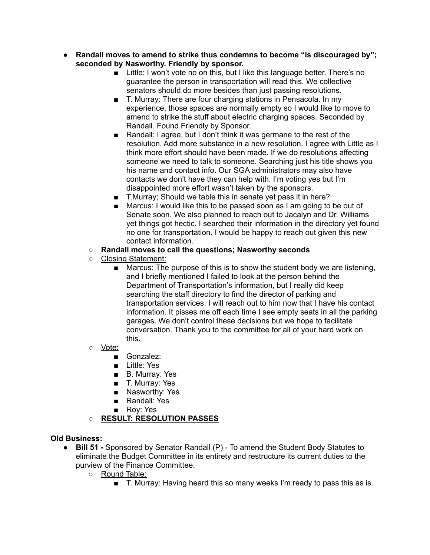- **● Randall moves to amend to strike thus condemns to become "is discouraged by"; seconded by Nasworthy. Friendly by sponsor.**
	- Little: I won't vote no on this, but I like this language better. There's no guarantee the person in transportation will read this. We collective senators should do more besides than just passing resolutions.
	- T. Murray: There are four charging stations in Pensacola. In my experience, those spaces are normally empty so I would like to move to amend to strike the stuff about electric charging spaces. Seconded by Randall. Found Friendly by Sponsor.
	- Randall: I agree, but I don't think it was germane to the rest of the resolution. Add more substance in a new resolution. I agree with Little as I think more effort should have been made. If we do resolutions affecting someone we need to talk to someone. Searching just his title shows you his name and contact info. Our SGA administrators may also have contacts we don't have they can help with. I'm voting yes but I'm disappointed more effort wasn't taken by the sponsors.
	- T.Murray; Should we table this in senate yet pass it in here?
	- Marcus: I would like this to be passed soon as I am going to be out of Senate soon. We also planned to reach out to Jacalyn and Dr. Williams yet things got hectic. I searched their information in the directory yet found no one for transportation. I would be happy to reach out given this new contact information.

## **○ Randall moves to call the questions; Nasworthy seconds**

- Closing Statement:
	- Marcus: The purpose of this is to show the student body we are listening, and I briefly mentioned I failed to look at the person behind the Department of Transportation's information, but I really did keep searching the staff directory to find the director of parking and transportation services. I will reach out to him now that I have his contact information. It pisses me off each time I see empty seats in all the parking garages. We don't control these decisions but we hope to facilitate conversation. Thank you to the committee for all of your hard work on this.
- Vote:
	- Gonzalez:
	- Little: Yes
	- B. Murray: Yes
	- T. Murray: Yes
	- Nasworthy: Yes
	- Randall: Yes
	- Roy: Yes

# **○ RESULT: RESOLUTION PASSES**

### **Old Business:**

- **Bill 51 -** Sponsored by Senator Randall (P) To amend the Student Body Statutes to eliminate the Budget Committee in its entirety and restructure its current duties to the purview of the Finance Committee.
	- o Round Table:
		- T. Murray: Having heard this so many weeks I'm ready to pass this as is.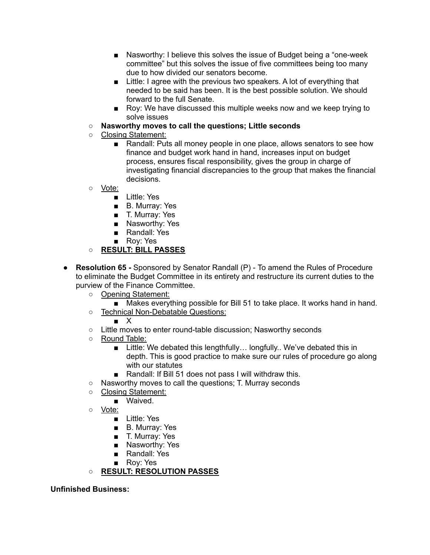- Nasworthy: I believe this solves the issue of Budget being a "one-week" committee" but this solves the issue of five committees being too many due to how divided our senators become.
- Little: I agree with the previous two speakers. A lot of everything that needed to be said has been. It is the best possible solution. We should forward to the full Senate.
- Roy: We have discussed this multiple weeks now and we keep trying to solve issues
- **○ Nasworthy moves to call the questions; Little seconds**
- Closing Statement:
	- Randall: Puts all money people in one place, allows senators to see how finance and budget work hand in hand, increases input on budget process, ensures fiscal responsibility, gives the group in charge of investigating financial discrepancies to the group that makes the financial decisions.
- Vote:
	- Little: Yes
	- B. Murray: Yes
	- T. Murray: Yes
	- Nasworthy: Yes
	- Randall: Yes
	- Roy: Yes
- **○ RESULT: BILL PASSES**
- **Resolution 65 -** Sponsored by Senator Randall (P) To amend the Rules of Procedure to eliminate the Budget Committee in its entirety and restructure its current duties to the purview of the Finance Committee.
	- Opening Statement:
		- Makes everything possible for Bill 51 to take place. It works hand in hand.
	- Technical Non-Debatable Questions:
		- X
	- Little moves to enter round-table discussion; Nasworthy seconds
	- Round Table:
		- Little: We debated this lengthfully... longfully.. We've debated this in depth. This is good practice to make sure our rules of procedure go along with our statutes
		- Randall: If Bill 51 does not pass I will withdraw this.
	- Nasworthy moves to call the questions; T. Murray seconds
	- Closing Statement:
		- Waived.
	- Vote:
		- Little: Yes
		- B. Murray: Yes
		- T. Murray: Yes
		- Nasworthy: Yes
		- Randall: Yes
		- Roy: Yes

# **○ RESULT: RESOLUTION PASSES**

### **Unfinished Business:**